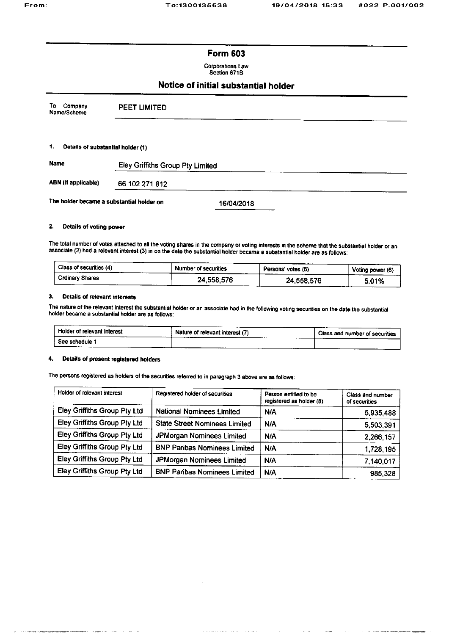# **Form 603**

**Corporations Law** Section 671B

# Notice of initial substantial holder

| Company<br>Т٥<br>Name/Scheme              | <b>PEET LIMITED</b>              |
|-------------------------------------------|----------------------------------|
|                                           |                                  |
| 1.<br>Details of substantial holder (1)   |                                  |
| Name                                      | Eley Griffiths Group Pty Limited |
| <b>ABN (if applicable)</b>                | 66 102 271 812                   |
| The holder became a substantial holder on | 16/04/2018                       |

### 2. Details of voting power

The total number of votes attached to all the voting shares in the company or voting interests in the scheme that the substantial holder or an associate (2) had a relevant interest (3) in on the date the substantial holder

| Class of securities (4) | Number of securities | Persons' votes (5) |       |
|-------------------------|----------------------|--------------------|-------|
| Crdinary Shares         | 24,558,576           | 24,558,576         | 5.01% |

#### $3.$ Details of relevant interests

The nature of the relevant interest the substantial holder or an associate had in the following voting securities on the date the substantial holder became a substantial holder are as follows:

| Holder of relevant interest<br>__________ | Nature of relevant interest (7) | Class and number of securities |  |
|-------------------------------------------|---------------------------------|--------------------------------|--|
| See schedule '                            |                                 |                                |  |

#### $\ddot{ }$ Details of present registered holders

eri H<del>ara</del>nski bo

The persons registered as holders of the securities referred to in paragraph 3 above are as follows:

| Holder of relevant interest  | Registered holder of securities      | Person entitled to be<br>registered as holder (8) | Class and number<br>of securities |
|------------------------------|--------------------------------------|---------------------------------------------------|-----------------------------------|
| Eley Griffiths Group Pty Ltd | <b>National Nominees Limited</b>     | N/A                                               | 6,935,488                         |
| Eley Griffiths Group Pty Ltd | <b>State Street Nominees Limited</b> | <b>N/A</b>                                        | 5,503,391                         |
| Eley Griffiths Group Pty Ltd | JPMorgan Nominees Limited            | <b>N/A</b>                                        | 2,266,157                         |
| Eley Griffiths Group Pty Ltd | <b>BNP Paribas Nominees Limited</b>  | <b>N/A</b>                                        | 1,728,195                         |
| Eley Griffiths Group Pty Ltd | JPMorgan Nominees Limited            | N/A                                               | 7,140,017                         |
| Eley Griffiths Group Pty Ltd | <b>BNP Paribas Nominees Limited</b>  | N/A                                               | 985,328                           |

والتواري والمتواطن والمتواطن